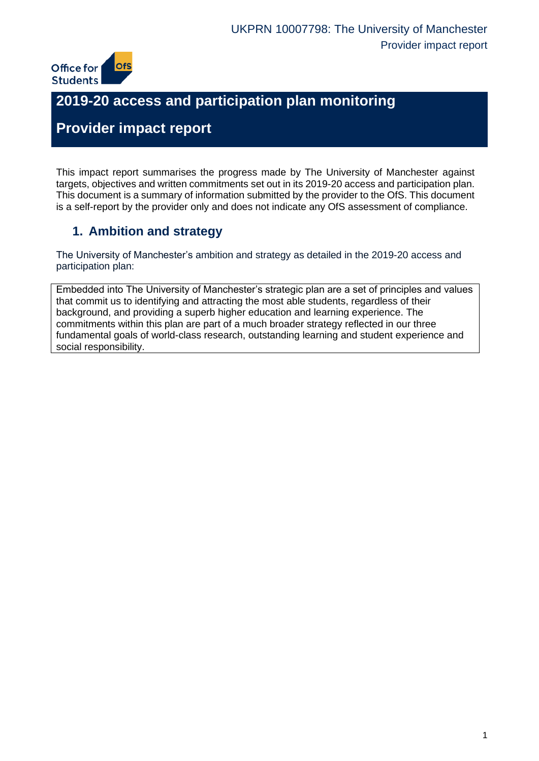

# **2019-20 access and participation plan monitoring**

# **Provider impact report**

This impact report summarises the progress made by The University of Manchester against targets, objectives and written commitments set out in its 2019-20 access and participation plan. This document is a summary of information submitted by the provider to the OfS. This document is a self-report by the provider only and does not indicate any OfS assessment of compliance.

## **1. Ambition and strategy**

The University of Manchester's ambition and strategy as detailed in the 2019-20 access and participation plan:

Embedded into The University of Manchester's strategic plan are a set of principles and values that commit us to identifying and attracting the most able students, regardless of their background, and providing a superb higher education and learning experience. The commitments within this plan are part of a much broader strategy reflected in our three fundamental goals of world-class research, outstanding learning and student experience and social responsibility.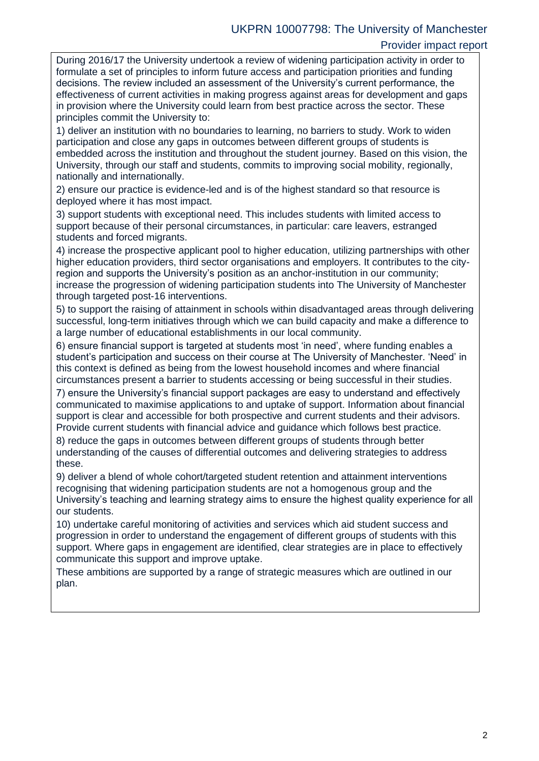#### UKPRN 10007798: The University of Manchester Provider impact report

During 2016/17 the University undertook a review of widening participation activity in order to formulate a set of principles to inform future access and participation priorities and funding decisions. The review included an assessment of the University's current performance, the effectiveness of current activities in making progress against areas for development and gaps in provision where the University could learn from best practice across the sector. These principles commit the University to:

1) deliver an institution with no boundaries to learning, no barriers to study. Work to widen participation and close any gaps in outcomes between different groups of students is embedded across the institution and throughout the student journey. Based on this vision, the University, through our staff and students, commits to improving social mobility, regionally, nationally and internationally.

2) ensure our practice is evidence-led and is of the highest standard so that resource is deployed where it has most impact.

3) support students with exceptional need. This includes students with limited access to support because of their personal circumstances, in particular: care leavers, estranged students and forced migrants.

4) increase the prospective applicant pool to higher education, utilizing partnerships with other higher education providers, third sector organisations and employers. It contributes to the cityregion and supports the University's position as an anchor-institution in our community; increase the progression of widening participation students into The University of Manchester through targeted post-16 interventions.

5) to support the raising of attainment in schools within disadvantaged areas through delivering successful, long-term initiatives through which we can build capacity and make a difference to a large number of educational establishments in our local community.

6) ensure financial support is targeted at students most 'in need', where funding enables a student's participation and success on their course at The University of Manchester. 'Need' in this context is defined as being from the lowest household incomes and where financial circumstances present a barrier to students accessing or being successful in their studies.

7) ensure the University's financial support packages are easy to understand and effectively communicated to maximise applications to and uptake of support. Information about financial support is clear and accessible for both prospective and current students and their advisors. Provide current students with financial advice and guidance which follows best practice.

8) reduce the gaps in outcomes between different groups of students through better understanding of the causes of differential outcomes and delivering strategies to address these.

9) deliver a blend of whole cohort/targeted student retention and attainment interventions recognising that widening participation students are not a homogenous group and the University's teaching and learning strategy aims to ensure the highest quality experience for all our students.

10) undertake careful monitoring of activities and services which aid student success and progression in order to understand the engagement of different groups of students with this support. Where gaps in engagement are identified, clear strategies are in place to effectively communicate this support and improve uptake.

These ambitions are supported by a range of strategic measures which are outlined in our plan.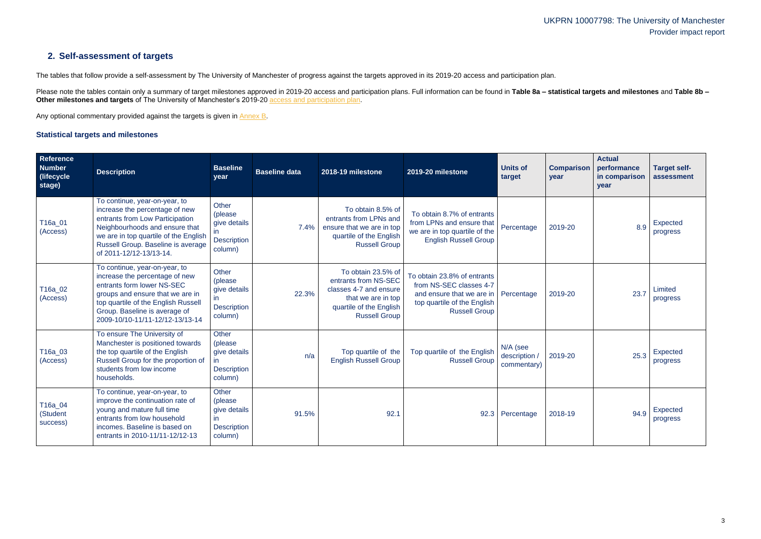## UKPRN 10007798: The University of Manchester Provider impact report

## **2. Self-assessment of targets**

The tables that follow provide a self-assessment by The University of Manchester of progress against the targets approved in its 2019-20 access and participation plan.

Please note the tables contain only a summary of target milestones approved in 2019-20 access and participation plans. Full information can be found in Table 8a - statistical targets and milestones and Table 8b -**Other milestones and targets** of The University of Manchester's 2019-20 [access and participation plan.](https://www.officeforstudents.org.uk/advice-and-guidance/the-register/search-for-access-and-participation-plans/#/AccessPlans/)

Any optional commentary provided against the targets is given in [Annex B.](#page-11-0)

#### <span id="page-2-0"></span>**Statistical targets and milestones**

| Reference<br><b>Number</b><br>(lifecycle)<br>stage) | <b>Description</b>                                                                                                                                                                                                                             | <b>Baseline</b><br>year                                                           | <b>Baseline data</b> | 2018-19 milestone                                                                                                                             | 2019-20 milestone                                                                                                                          | <b>Units of</b><br>target                | <b>Comparison</b><br>year | <b>Actual</b><br>performance<br>in comparison<br>year | <b>Target self-</b><br>assessment |
|-----------------------------------------------------|------------------------------------------------------------------------------------------------------------------------------------------------------------------------------------------------------------------------------------------------|-----------------------------------------------------------------------------------|----------------------|-----------------------------------------------------------------------------------------------------------------------------------------------|--------------------------------------------------------------------------------------------------------------------------------------------|------------------------------------------|---------------------------|-------------------------------------------------------|-----------------------------------|
| T16a_01<br>(Access)                                 | To continue, year-on-year, to<br>increase the percentage of new<br>entrants from Low Participation<br>Neighbourhoods and ensure that<br>we are in top quartile of the English<br>Russell Group. Baseline is average<br>of 2011-12/12-13/13-14. | Other<br>(please<br>give details<br>$\mathsf{I}$<br><b>Description</b><br>column) | 7.4%                 | To obtain 8.5% of<br>entrants from LPNs and<br>ensure that we are in top<br>quartile of the English<br><b>Russell Group</b>                   | To obtain 8.7% of entrants<br>from LPNs and ensure that<br>we are in top quartile of the<br><b>English Russell Group</b>                   | Percentage                               | 2019-20                   | 8.9                                                   | Expected<br>progress              |
| T16a_02<br>(Access)                                 | To continue, year-on-year, to<br>increase the percentage of new<br>entrants form lower NS-SEC<br>groups and ensure that we are in<br>top quartile of the English Russell<br>Group. Baseline is average of<br>2009-10/10-11/11-12/12-13/13-14   | Other<br>(please<br>give details<br>in.<br><b>Description</b><br>column)          | 22.3%                | To obtain 23.5% of<br>entrants from NS-SEC<br>classes 4-7 and ensure<br>that we are in top<br>quartile of the English<br><b>Russell Group</b> | To obtain 23.8% of entrants<br>from NS-SEC classes 4-7<br>and ensure that we are in<br>top quartile of the English<br><b>Russell Group</b> | Percentage                               | 2019-20                   | 23.7                                                  | Limited<br>progress               |
| T16a_03<br>(Access)                                 | To ensure The University of<br>Manchester is positioned towards<br>the top quartile of the English<br>Russell Group for the proportion of<br>students from low income<br>households.                                                           | <b>Other</b><br>(please<br>give details<br>in.<br><b>Description</b><br>column)   | n/a                  | Top quartile of the<br><b>English Russell Group</b>                                                                                           | Top quartile of the English<br><b>Russell Group</b>                                                                                        | N/A (see<br>description /<br>commentary) | 2019-20                   | 25.3                                                  | Expected<br>progress              |
| T16a_04<br>(Student<br>success)                     | To continue, year-on-year, to<br>improve the continuation rate of<br>young and mature full time<br>entrants from low household<br>incomes. Baseline is based on<br>entrants in 2010-11/11-12/12-13                                             | <b>Other</b><br>(please)<br>give details<br>in.<br><b>Description</b><br>column)  | 91.5%                | 92.1                                                                                                                                          |                                                                                                                                            | 92.3 Percentage                          | 2018-19                   | 94.9                                                  | Expected<br>progress              |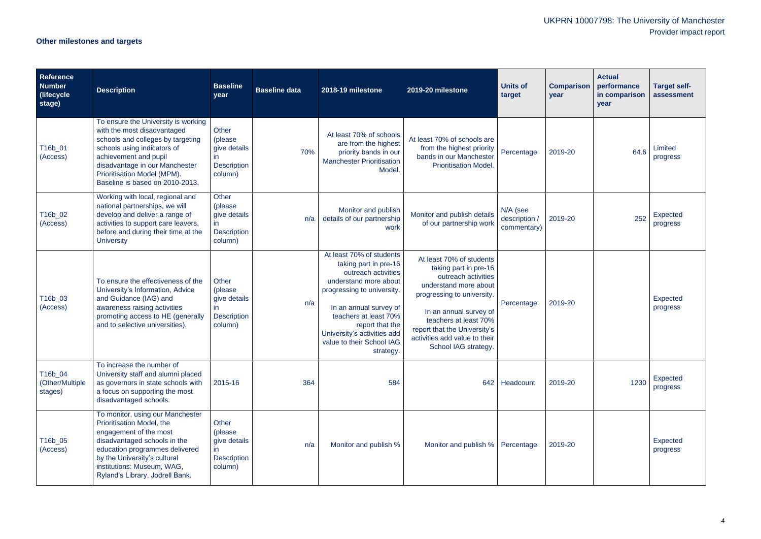# UKPRN 10007798: The University of Manchester Provider impact report

# **Other milestones and targets**

| <b>Reference</b><br><b>Number</b><br>(lifecycle<br>stage) | <b>Description</b>                                                                                                                                                                                                                                                  | <b>Baseline</b><br>year                                                                  | <b>Baseline data</b> | 2018-19 milestone                                                                                                                                                                                                                                                              | 2019-20 milestone                                                                                                                                                                                                                                                           | <b>Units of</b><br>target                | <b>Comparison</b><br>year | <b>Actual</b><br>performance<br>in comparison<br>year | <b>Target self-</b><br>assessment |
|-----------------------------------------------------------|---------------------------------------------------------------------------------------------------------------------------------------------------------------------------------------------------------------------------------------------------------------------|------------------------------------------------------------------------------------------|----------------------|--------------------------------------------------------------------------------------------------------------------------------------------------------------------------------------------------------------------------------------------------------------------------------|-----------------------------------------------------------------------------------------------------------------------------------------------------------------------------------------------------------------------------------------------------------------------------|------------------------------------------|---------------------------|-------------------------------------------------------|-----------------------------------|
| T16b_01<br>(Access)                                       | To ensure the University is working<br>with the most disadvantaged<br>schools and colleges by targeting<br>schools using indicators of<br>achievement and pupil<br>disadvantage in our Manchester<br>Prioritisation Model (MPM).<br>Baseline is based on 2010-2013. | Other<br>(please)<br>give details<br>in.<br><b>Description</b><br>column)                | 70%                  | At least 70% of schools<br>are from the highest<br>priority bands in our<br><b>Manchester Prioritisation</b><br>Model.                                                                                                                                                         | At least 70% of schools are<br>from the highest priority<br>bands in our Manchester<br><b>Prioritisation Model.</b>                                                                                                                                                         | Percentage                               | 2019-20                   | 64.6                                                  | Limited<br>progress               |
| T16b_02<br>(Access)                                       | Working with local, regional and<br>national partnerships, we will<br>develop and deliver a range of<br>activities to support care leavers,<br>before and during their time at the<br><b>University</b>                                                             | <b>Other</b><br>(please<br>give details<br>$\mathsf{I}$<br><b>Description</b><br>column) | n/a                  | Monitor and publish<br>details of our partnership<br>work                                                                                                                                                                                                                      | Monitor and publish details<br>of our partnership work                                                                                                                                                                                                                      | N/A (see<br>description /<br>commentary) | 2019-20                   | 252                                                   | Expected<br>progress              |
| T16b_03<br>(Access)                                       | To ensure the effectiveness of the<br>University's Information, Advice<br>and Guidance (IAG) and<br>awareness raising activities<br>promoting access to HE (generally<br>and to selective universities).                                                            | Other<br>(please)<br>give details<br>$\mathsf{I}$<br><b>Description</b><br>column)       | n/a                  | At least 70% of students<br>taking part in pre-16<br>outreach activities<br>understand more about<br>progressing to university.<br>In an annual survey of<br>teachers at least 70%<br>report that the<br>University's activities add<br>value to their School IAG<br>strategy. | At least 70% of students<br>taking part in pre-16<br>outreach activities<br>understand more about<br>progressing to university.<br>In an annual survey of<br>teachers at least 70%<br>report that the University's<br>activities add value to their<br>School IAG strategy. | Percentage                               | 2019-20                   |                                                       | <b>Expected</b><br>progress       |
| T16b_04<br>(Other/Multiple<br>stages)                     | To increase the number of<br>University staff and alumni placed<br>as governors in state schools with<br>a focus on supporting the most<br>disadvantaged schools.                                                                                                   | 2015-16                                                                                  | 364                  | 584                                                                                                                                                                                                                                                                            | 642                                                                                                                                                                                                                                                                         | Headcount                                | 2019-20                   | 1230                                                  | Expected<br>progress              |
| T16b_05<br>(Access)                                       | To monitor, using our Manchester<br>Prioritisation Model, the<br>engagement of the most<br>disadvantaged schools in the<br>education programmes delivered<br>by the University's cultural<br>institutions: Museum, WAG,<br>Ryland's Library, Jodrell Bank.          | Other<br>(please)<br>give details<br>in.<br><b>Description</b><br>column)                | n/a                  | Monitor and publish %                                                                                                                                                                                                                                                          | Monitor and publish %   Percentage                                                                                                                                                                                                                                          |                                          | 2019-20                   |                                                       | Expected<br>progress              |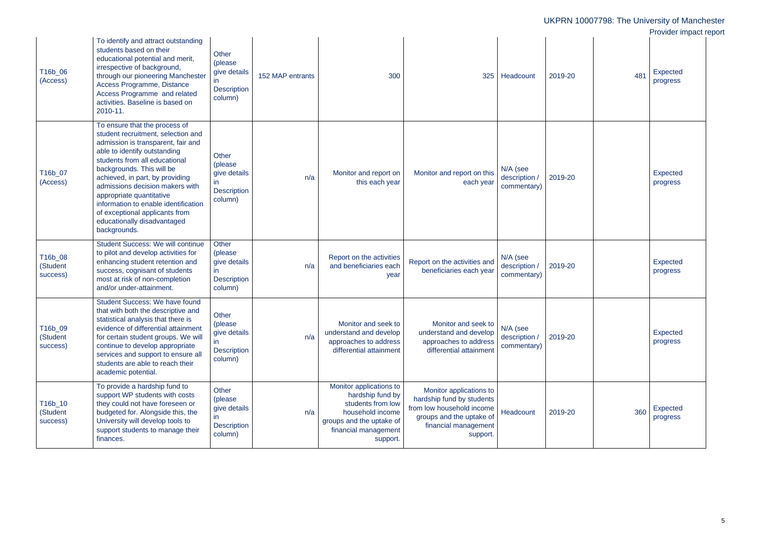|                                 |                                                                                                                                                                                                                                                                                                                                                                                                                                    |                                                                                    |                  |                                                                                                                                                      |                                                                                                                                                   |                                          |         | UKPRN 10007798: The University of Manchester |                                                       |  |
|---------------------------------|------------------------------------------------------------------------------------------------------------------------------------------------------------------------------------------------------------------------------------------------------------------------------------------------------------------------------------------------------------------------------------------------------------------------------------|------------------------------------------------------------------------------------|------------------|------------------------------------------------------------------------------------------------------------------------------------------------------|---------------------------------------------------------------------------------------------------------------------------------------------------|------------------------------------------|---------|----------------------------------------------|-------------------------------------------------------|--|
| T16b_06<br>(Access)             | To identify and attract outstanding<br>students based on their<br>educational potential and merit,<br>irrespective of background,<br>through our pioneering Manchester<br>Access Programme, Distance<br>Access Programme and related<br>activities. Baseline is based on<br>2010-11.                                                                                                                                               | Other<br>(please<br>give details<br>$\mathsf{In}$<br><b>Description</b><br>column) | 152 MAP entrants | 300                                                                                                                                                  | 325                                                                                                                                               | Headcount                                | 2019-20 | 481                                          | Provider impact report<br><b>Expected</b><br>progress |  |
| T16b_07<br>(Access)             | To ensure that the process of<br>student recruitment, selection and<br>admission is transparent, fair and<br>able to identify outstanding<br>students from all educational<br>backgrounds. This will be<br>achieved, in part, by providing<br>admissions decision makers with<br>appropriate quantitative<br>information to enable identification<br>of exceptional applicants from<br>educationally disadvantaged<br>backgrounds. | Other<br>(please<br>give details<br><b>Description</b><br>column)                  | n/a              | Monitor and report on<br>this each year                                                                                                              | Monitor and report on this<br>each year                                                                                                           | N/A (see<br>description /<br>commentary) | 2019-20 |                                              | Expected<br>progress                                  |  |
| T16b_08<br>(Student<br>success) | <b>Student Success: We will continue</b><br>to pilot and develop activities for<br>enhancing student retention and<br>success, cognisant of students<br>most at risk of non-completion<br>and/or under-attainment.                                                                                                                                                                                                                 | Other<br>(please)<br>give details<br>in.<br><b>Description</b><br>column)          | n/a              | Report on the activities<br>and beneficiaries each<br>year                                                                                           | Report on the activities and<br>beneficiaries each year                                                                                           | N/A (see<br>description /<br>commentary) | 2019-20 |                                              | Expected<br>progress                                  |  |
| T16b_09<br>(Student<br>success) | Student Success: We have found<br>that with both the descriptive and<br>statistical analysis that there is<br>evidence of differential attainment<br>for certain student groups. We will<br>continue to develop appropriate<br>services and support to ensure all<br>students are able to reach their<br>academic potential.                                                                                                       | <b>Other</b><br>(please<br>give details<br><b>Description</b><br>column)           | n/a              | Monitor and seek to<br>understand and develop<br>approaches to address<br>differential attainment                                                    | Monitor and seek to<br>understand and develop<br>approaches to address<br>differential attainment                                                 | N/A (see<br>description /<br>commentary) | 2019-20 |                                              | <b>Expected</b><br>progress                           |  |
| T16b_10<br>(Student<br>success) | To provide a hardship fund to<br>support WP students with costs<br>they could not have foreseen or<br>budgeted for. Alongside this, the<br>University will develop tools to<br>support students to manage their<br>finances.                                                                                                                                                                                                       | Other<br>(please<br>give details<br><b>Description</b><br>column)                  | n/a              | Monitor applications to<br>hardship fund by<br>students from low<br>household income<br>groups and the uptake of<br>financial management<br>support. | Monitor applications to<br>hardship fund by students<br>from low household income<br>groups and the uptake of<br>financial management<br>support. | Headcount                                | 2019-20 | 360                                          | Expected<br>progress                                  |  |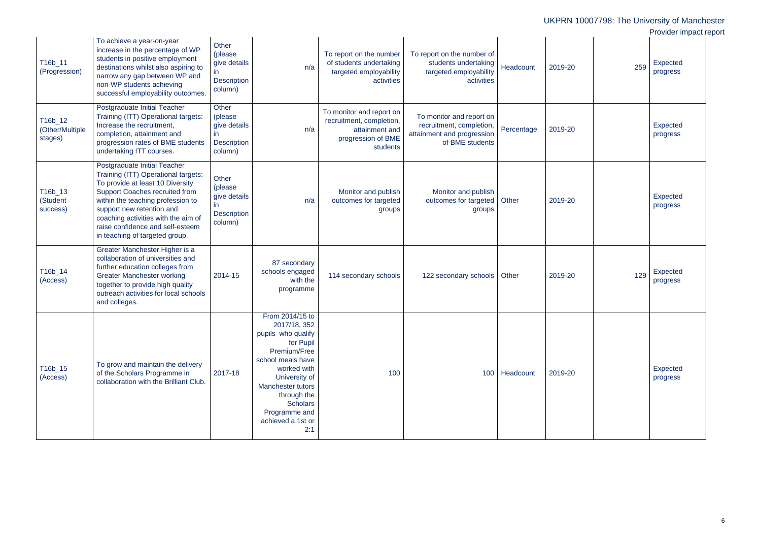|                                       |                                                                                                                                                                                                                                                                                                                                 |                                                                          |                                                                                                                                                                                                                                                    |                                                                                                          |                                                                                                       |            |         | UKPRN 10007798: The University of Manchester |                        |  |
|---------------------------------------|---------------------------------------------------------------------------------------------------------------------------------------------------------------------------------------------------------------------------------------------------------------------------------------------------------------------------------|--------------------------------------------------------------------------|----------------------------------------------------------------------------------------------------------------------------------------------------------------------------------------------------------------------------------------------------|----------------------------------------------------------------------------------------------------------|-------------------------------------------------------------------------------------------------------|------------|---------|----------------------------------------------|------------------------|--|
|                                       | To achieve a year-on-year<br>increase in the percentage of WP                                                                                                                                                                                                                                                                   | Other                                                                    |                                                                                                                                                                                                                                                    |                                                                                                          |                                                                                                       |            |         |                                              | Provider impact report |  |
| T16b_11<br>(Progression)              | students in positive employment<br>destinations whilst also aspiring to<br>narrow any gap between WP and<br>non-WP students achieving<br>successful employability outcomes.                                                                                                                                                     | (please<br>give details<br>in.<br><b>Description</b><br>column)          | n/a                                                                                                                                                                                                                                                | To report on the number<br>of students undertaking<br>targeted employability<br>activities               | To report on the number of<br>students undertaking<br>targeted employability<br>activities            | Headcount  | 2019-20 | 259                                          | Expected<br>progress   |  |
| T16b_12<br>(Other/Multiple<br>stages) | Postgraduate Initial Teacher<br>Training (ITT) Operational targets:<br>Increase the recruitment,<br>completion, attainment and<br>progression rates of BME students<br>undertaking ITT courses.                                                                                                                                 | Other<br>(please<br>give details<br>in.<br><b>Description</b><br>column) | n/a                                                                                                                                                                                                                                                | To monitor and report on<br>recruitment, completion,<br>attainment and<br>progression of BME<br>students | To monitor and report on<br>recruitment, completion,<br>attainment and progression<br>of BME students | Percentage | 2019-20 |                                              | Expected<br>progress   |  |
| T16b_13<br>(Student<br>success)       | Postgraduate Initial Teacher<br>Training (ITT) Operational targets:<br>To provide at least 10 Diversity<br><b>Support Coaches recruited from</b><br>within the teaching profession to<br>support new retention and<br>coaching activities with the aim of<br>raise confidence and self-esteem<br>in teaching of targeted group. | Other<br>(please<br>give details<br>in.<br><b>Description</b><br>column) | n/a                                                                                                                                                                                                                                                | Monitor and publish<br>outcomes for targeted<br>groups                                                   | Monitor and publish<br>outcomes for targeted<br>groups                                                | Other      | 2019-20 |                                              | Expected<br>progress   |  |
| T16b_14<br>(Access)                   | Greater Manchester Higher is a<br>collaboration of universities and<br>further education colleges from<br><b>Greater Manchester working</b><br>together to provide high quality<br>outreach activities for local schools<br>and colleges.                                                                                       | 2014-15                                                                  | 87 secondary<br>schools engaged<br>with the<br>programme                                                                                                                                                                                           | 114 secondary schools                                                                                    | 122 secondary schools                                                                                 | Other      | 2019-20 | 129                                          | Expected<br>progress   |  |
| T16b_15<br>(Access)                   | To grow and maintain the delivery<br>of the Scholars Programme in<br>collaboration with the Brilliant Club.                                                                                                                                                                                                                     | 2017-18                                                                  | From 2014/15 to<br>2017/18, 352<br>pupils who qualify<br>for Pupil<br>Premium/Free<br>school meals have<br>worked with<br>University of<br><b>Manchester tutors</b><br>through the<br><b>Scholars</b><br>Programme and<br>achieved a 1st or<br>2:1 | 100                                                                                                      | 100                                                                                                   | Headcount  | 2019-20 |                                              | Expected<br>progress   |  |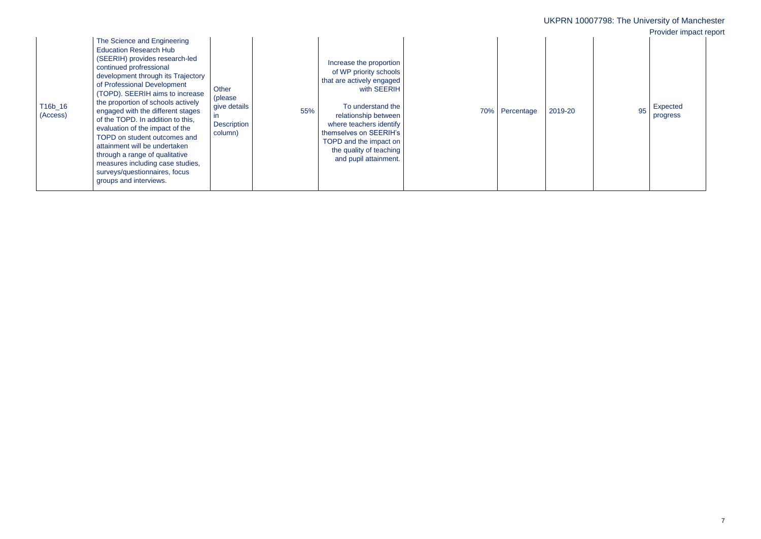| JKF | PRN |  |
|-----|-----|--|
|     |     |  |
|     |     |  |

|                     |                                                                                                                                                                                                                                                                                                                                                                                                                                                                                                                                                                                        |                                                                                   |                                                                                                                                                                                                                                                                                      |     |            |         | UKPRN 10007798: The University of Manchester         |
|---------------------|----------------------------------------------------------------------------------------------------------------------------------------------------------------------------------------------------------------------------------------------------------------------------------------------------------------------------------------------------------------------------------------------------------------------------------------------------------------------------------------------------------------------------------------------------------------------------------------|-----------------------------------------------------------------------------------|--------------------------------------------------------------------------------------------------------------------------------------------------------------------------------------------------------------------------------------------------------------------------------------|-----|------------|---------|------------------------------------------------------|
| T16b_16<br>(Access) | The Science and Engineering<br><b>Education Research Hub</b><br>(SEERIH) provides research-led<br>continued profressional<br>development through its Trajectory<br>of Professional Development<br>(TOPD). SEERIH aims to increase<br>the proportion of schools actively<br>engaged with the different stages<br>of the TOPD. In addition to this,<br>evaluation of the impact of the<br>TOPD on student outcomes and<br>attainment will be undertaken<br>through a range of qualitative<br>measures including case studies,<br>surveys/questionnaires, focus<br>groups and interviews. | Other<br>(please<br>give details<br>$\mathsf{I}$<br><b>Description</b><br>column) | Increase the proportion<br>of WP priority schools<br>that are actively engaged<br>with SEERIH<br>To understand the<br>55%<br>relationship between<br>where teachers identify<br>themselves on SEERIH's<br>TOPD and the impact on<br>the quality of teaching<br>and pupil attainment. | 70% | Percentage | 2019-20 | Provider impact report<br>Expected<br>95<br>progress |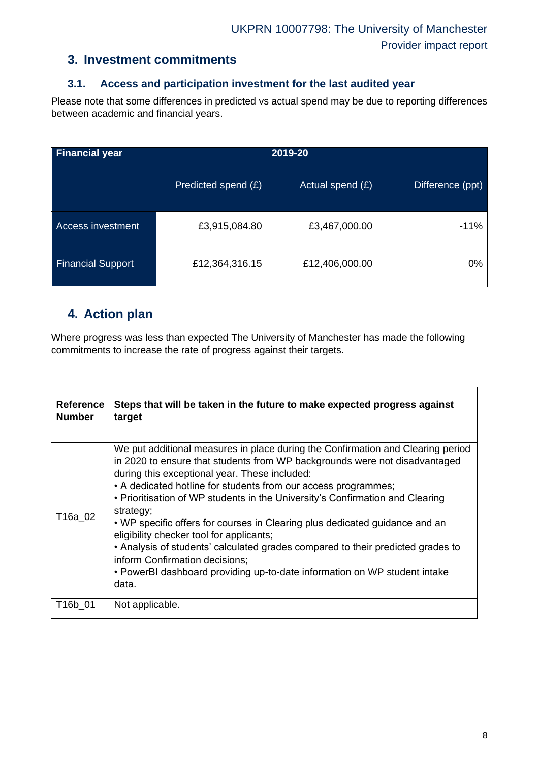## **3. Investment commitments**

#### **3.1. Access and participation investment for the last audited year**

Please note that some differences in predicted vs actual spend may be due to reporting differences between academic and financial years.

| <b>Financial year</b>    | 2019-20             |                    |                  |  |  |
|--------------------------|---------------------|--------------------|------------------|--|--|
|                          | Predicted spend (£) | Actual spend $(E)$ | Difference (ppt) |  |  |
| Access investment        | £3,915,084.80       | £3,467,000.00      | $-11%$           |  |  |
| <b>Financial Support</b> | £12,364,316.15      | £12,406,000.00     | $0\%$            |  |  |

## **4. Action plan**

Where progress was less than expected The University of Manchester has made the following commitments to increase the rate of progress against their targets.

| <b>Reference</b><br><b>Number</b> | Steps that will be taken in the future to make expected progress against<br>target                                                                                                                                                                                                                                                                                                                                                                                                                                                                                                                                                                                                                                   |
|-----------------------------------|----------------------------------------------------------------------------------------------------------------------------------------------------------------------------------------------------------------------------------------------------------------------------------------------------------------------------------------------------------------------------------------------------------------------------------------------------------------------------------------------------------------------------------------------------------------------------------------------------------------------------------------------------------------------------------------------------------------------|
| T16a 02                           | We put additional measures in place during the Confirmation and Clearing period<br>in 2020 to ensure that students from WP backgrounds were not disadvantaged<br>during this exceptional year. These included:<br>• A dedicated hotline for students from our access programmes;<br>• Prioritisation of WP students in the University's Confirmation and Clearing<br>strategy;<br>• WP specific offers for courses in Clearing plus dedicated guidance and an<br>eligibility checker tool for applicants;<br>• Analysis of students' calculated grades compared to their predicted grades to<br>inform Confirmation decisions;<br>• PowerBI dashboard providing up-to-date information on WP student intake<br>data. |
| T <sub>16</sub> b 01              | Not applicable.                                                                                                                                                                                                                                                                                                                                                                                                                                                                                                                                                                                                                                                                                                      |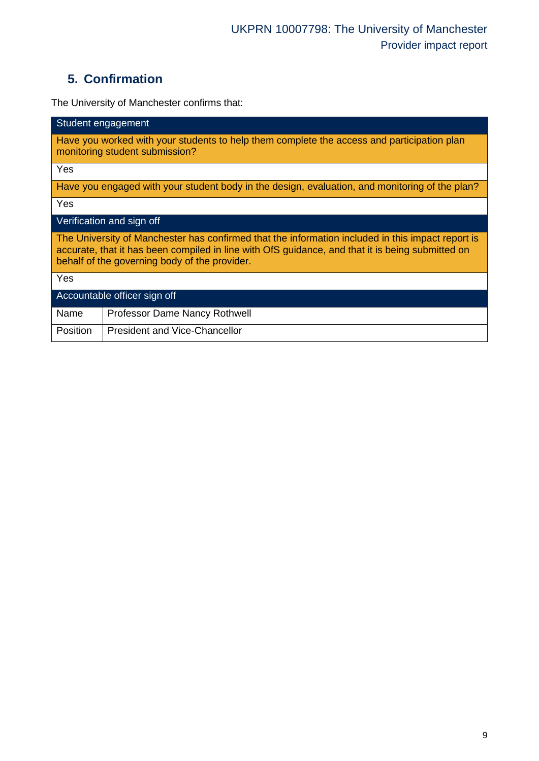# **5. Confirmation**

The University of Manchester confirms that:

| Student engagement                                                                                                                                                                                                                                     |  |  |  |  |  |
|--------------------------------------------------------------------------------------------------------------------------------------------------------------------------------------------------------------------------------------------------------|--|--|--|--|--|
| Have you worked with your students to help them complete the access and participation plan<br>monitoring student submission?                                                                                                                           |  |  |  |  |  |
| Yes                                                                                                                                                                                                                                                    |  |  |  |  |  |
| Have you engaged with your student body in the design, evaluation, and monitoring of the plan?                                                                                                                                                         |  |  |  |  |  |
| Yes                                                                                                                                                                                                                                                    |  |  |  |  |  |
| Verification and sign off                                                                                                                                                                                                                              |  |  |  |  |  |
| The University of Manchester has confirmed that the information included in this impact report is<br>accurate, that it has been compiled in line with OfS guidance, and that it is being submitted on<br>behalf of the governing body of the provider. |  |  |  |  |  |
| Yes                                                                                                                                                                                                                                                    |  |  |  |  |  |
| Accountable officer sign off                                                                                                                                                                                                                           |  |  |  |  |  |
| Name<br>Professor Dame Nancy Rothwell                                                                                                                                                                                                                  |  |  |  |  |  |
| <b>Position</b><br><b>President and Vice-Chancellor</b>                                                                                                                                                                                                |  |  |  |  |  |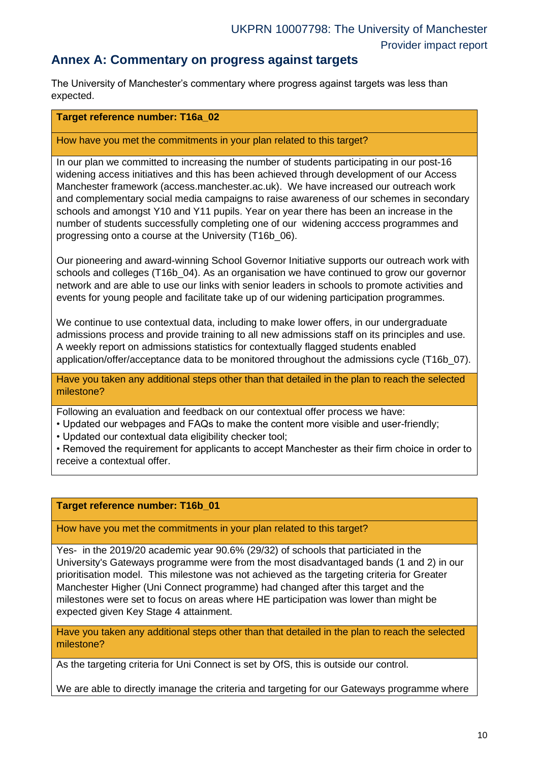### **Annex A: Commentary on progress against targets**

The University of Manchester's commentary where progress against targets was less than expected.

#### **Target reference number: T16a\_02**

#### How have you met the commitments in your plan related to this target?

In our plan we committed to increasing the number of students participating in our post-16 widening access initiatives and this has been achieved through development of our Access Manchester framework (access.manchester.ac.uk). We have increased our outreach work and complementary social media campaigns to raise awareness of our schemes in secondary schools and amongst Y10 and Y11 pupils. Year on year there has been an increase in the number of students successfully completing one of our widening acccess programmes and progressing onto a course at the University (T16b\_06).

Our pioneering and award-winning School Governor Initiative supports our outreach work with schools and colleges (T16b, 04). As an organisation we have continued to grow our governor network and are able to use our links with senior leaders in schools to promote activities and events for young people and facilitate take up of our widening participation programmes.

We continue to use contextual data, including to make lower offers, in our undergraduate admissions process and provide training to all new admissions staff on its principles and use. A weekly report on admissions statistics for contextually flagged students enabled application/offer/acceptance data to be monitored throughout the admissions cycle (T16b\_07).

Have you taken any additional steps other than that detailed in the plan to reach the selected milestone?

Following an evaluation and feedback on our contextual offer process we have:

• Updated our webpages and FAQs to make the content more visible and user-friendly;

• Updated our contextual data eligibility checker tool;

• Removed the requirement for applicants to accept Manchester as their firm choice in order to receive a contextual offer.

#### **Target reference number: T16b\_01**

How have you met the commitments in your plan related to this target?

Yes- in the 2019/20 academic year 90.6% (29/32) of schools that particiated in the University's Gateways programme were from the most disadvantaged bands (1 and 2) in our prioritisation model. This milestone was not achieved as the targeting criteria for Greater Manchester Higher (Uni Connect programme) had changed after this target and the milestones were set to focus on areas where HE participation was lower than might be expected given Key Stage 4 attainment.

Have you taken any additional steps other than that detailed in the plan to reach the selected milestone?

As the targeting criteria for Uni Connect is set by OfS, this is outside our control.

We are able to directly imanage the criteria and targeting for our Gateways programme where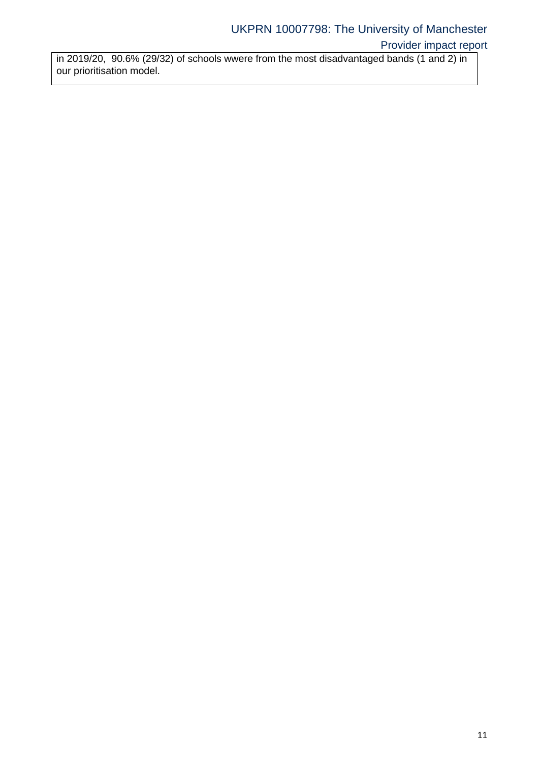in 2019/20, 90.6% (29/32) of schools wwere from the most disadvantaged bands (1 and 2) in our prioritisation model.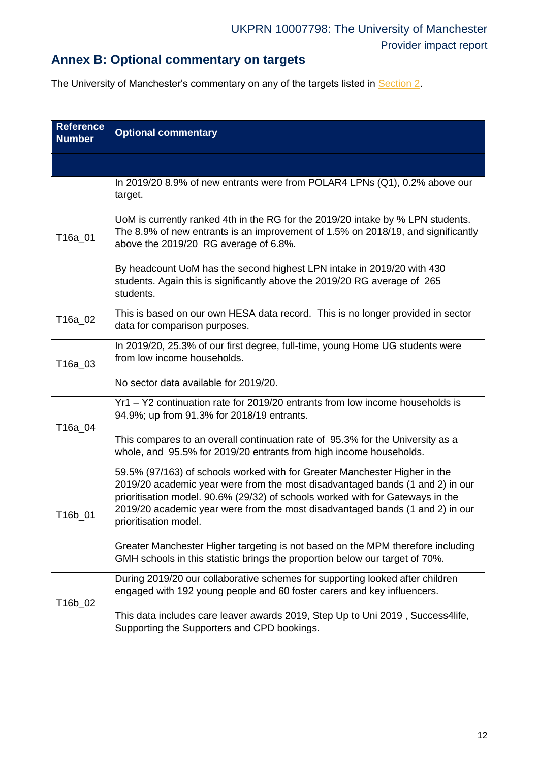# **Annex B: Optional commentary on targets**

The University of Manchester's commentary on any of the targets listed in **Section 2**.

<span id="page-11-0"></span>

| <b>Reference</b><br><b>Number</b> | <b>Optional commentary</b>                                                                                                                                                                                                                                                                                                                              |
|-----------------------------------|---------------------------------------------------------------------------------------------------------------------------------------------------------------------------------------------------------------------------------------------------------------------------------------------------------------------------------------------------------|
|                                   |                                                                                                                                                                                                                                                                                                                                                         |
|                                   | In 2019/20 8.9% of new entrants were from POLAR4 LPNs (Q1), 0.2% above our<br>target.                                                                                                                                                                                                                                                                   |
| T16a_01                           | UoM is currently ranked 4th in the RG for the 2019/20 intake by % LPN students.<br>The 8.9% of new entrants is an improvement of 1.5% on 2018/19, and significantly<br>above the 2019/20 RG average of 6.8%.                                                                                                                                            |
|                                   | By headcount UoM has the second highest LPN intake in 2019/20 with 430<br>students. Again this is significantly above the 2019/20 RG average of 265<br>students.                                                                                                                                                                                        |
| T16a_02                           | This is based on our own HESA data record. This is no longer provided in sector<br>data for comparison purposes.                                                                                                                                                                                                                                        |
| T16a_03                           | In 2019/20, 25.3% of our first degree, full-time, young Home UG students were<br>from low income households.                                                                                                                                                                                                                                            |
|                                   | No sector data available for 2019/20.                                                                                                                                                                                                                                                                                                                   |
| T16a_04                           | Yr1 - Y2 continuation rate for 2019/20 entrants from low income households is<br>94.9%; up from 91.3% for 2018/19 entrants.                                                                                                                                                                                                                             |
|                                   | This compares to an overall continuation rate of 95.3% for the University as a<br>whole, and 95.5% for 2019/20 entrants from high income households.                                                                                                                                                                                                    |
| T16b_01                           | 59.5% (97/163) of schools worked with for Greater Manchester Higher in the<br>2019/20 academic year were from the most disadvantaged bands (1 and 2) in our<br>prioritisation model. 90.6% (29/32) of schools worked with for Gateways in the<br>2019/20 academic year were from the most disadvantaged bands (1 and 2) in our<br>prioritisation model. |
|                                   | Greater Manchester Higher targeting is not based on the MPM therefore including<br>GMH schools in this statistic brings the proportion below our target of 70%.                                                                                                                                                                                         |
| T16b_02                           | During 2019/20 our collaborative schemes for supporting looked after children<br>engaged with 192 young people and 60 foster carers and key influencers.                                                                                                                                                                                                |
|                                   | This data includes care leaver awards 2019, Step Up to Uni 2019, Success4life,<br>Supporting the Supporters and CPD bookings.                                                                                                                                                                                                                           |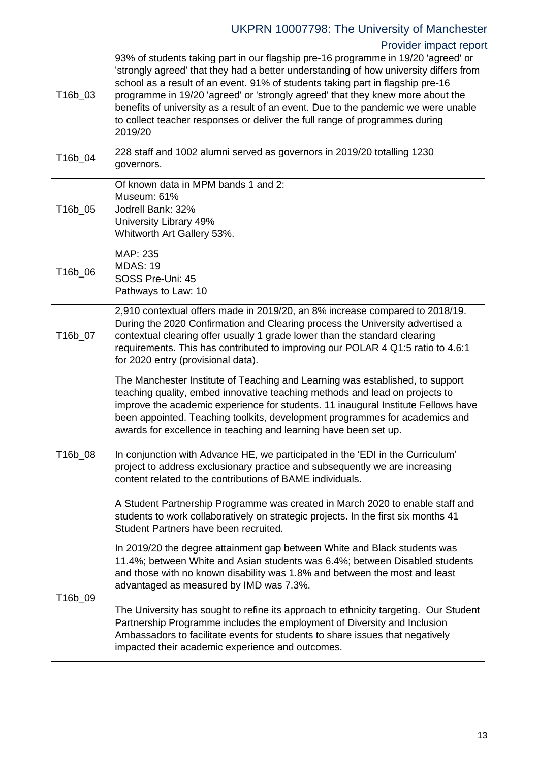# UKPRN 10007798: The University of Manchester

### Provider impact report

| T16b_03 | 93% of students taking part in our flagship pre-16 programme in 19/20 'agreed' or<br>'strongly agreed' that they had a better understanding of how university differs from<br>school as a result of an event. 91% of students taking part in flagship pre-16<br>programme in 19/20 'agreed' or 'strongly agreed' that they knew more about the<br>benefits of university as a result of an event. Due to the pandemic we were unable<br>to collect teacher responses or deliver the full range of programmes during<br>2019/20 |
|---------|--------------------------------------------------------------------------------------------------------------------------------------------------------------------------------------------------------------------------------------------------------------------------------------------------------------------------------------------------------------------------------------------------------------------------------------------------------------------------------------------------------------------------------|
| T16b_04 | 228 staff and 1002 alumni served as governors in 2019/20 totalling 1230<br>governors.                                                                                                                                                                                                                                                                                                                                                                                                                                          |
| T16b_05 | Of known data in MPM bands 1 and 2:<br>Museum: 61%<br>Jodrell Bank: 32%<br>University Library 49%<br>Whitworth Art Gallery 53%.                                                                                                                                                                                                                                                                                                                                                                                                |
| T16b_06 | MAP: 235<br><b>MDAS: 19</b><br>SOSS Pre-Uni: 45<br>Pathways to Law: 10                                                                                                                                                                                                                                                                                                                                                                                                                                                         |
| T16b_07 | 2,910 contextual offers made in 2019/20, an 8% increase compared to 2018/19.<br>During the 2020 Confirmation and Clearing process the University advertised a<br>contextual clearing offer usually 1 grade lower than the standard clearing<br>requirements. This has contributed to improving our POLAR 4 Q1:5 ratio to 4.6:1<br>for 2020 entry (provisional data).                                                                                                                                                           |
|         | The Manchester Institute of Teaching and Learning was established, to support<br>teaching quality, embed innovative teaching methods and lead on projects to<br>improve the academic experience for students. 11 inaugural Institute Fellows have<br>been appointed. Teaching toolkits, development programmes for academics and<br>awards for excellence in teaching and learning have been set up.                                                                                                                           |
| T16b_08 | In conjunction with Advance HE, we participated in the 'EDI in the Curriculum'<br>project to address exclusionary practice and subsequently we are increasing<br>content related to the contributions of BAME individuals.                                                                                                                                                                                                                                                                                                     |
|         | A Student Partnership Programme was created in March 2020 to enable staff and<br>students to work collaboratively on strategic projects. In the first six months 41<br>Student Partners have been recruited.                                                                                                                                                                                                                                                                                                                   |
| T16b_09 | In 2019/20 the degree attainment gap between White and Black students was<br>11.4%; between White and Asian students was 6.4%; between Disabled students<br>and those with no known disability was 1.8% and between the most and least<br>advantaged as measured by IMD was 7.3%.                                                                                                                                                                                                                                              |
|         | The University has sought to refine its approach to ethnicity targeting. Our Student<br>Partnership Programme includes the employment of Diversity and Inclusion<br>Ambassadors to facilitate events for students to share issues that negatively<br>impacted their academic experience and outcomes.                                                                                                                                                                                                                          |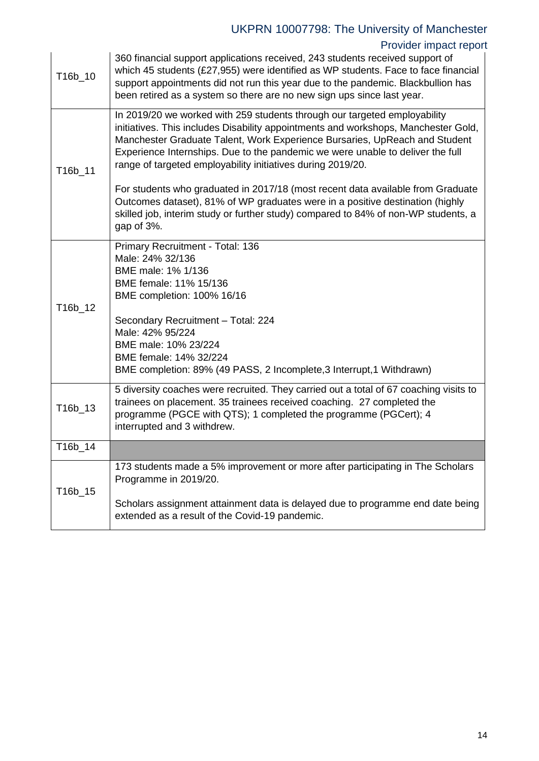# UKPRN 10007798: The University of Manchester

Provider impact report

| T16b_10 | which 45 students (£27,955) were identified as WP students. Face to face financial<br>support appointments did not run this year due to the pandemic. Blackbullion has<br>been retired as a system so there are no new sign ups since last year.                                                                                                                                               |
|---------|------------------------------------------------------------------------------------------------------------------------------------------------------------------------------------------------------------------------------------------------------------------------------------------------------------------------------------------------------------------------------------------------|
| T16b_11 | In 2019/20 we worked with 259 students through our targeted employability<br>initiatives. This includes Disability appointments and workshops, Manchester Gold,<br>Manchester Graduate Talent, Work Experience Bursaries, UpReach and Student<br>Experience Internships. Due to the pandemic we were unable to deliver the full<br>range of targeted employability initiatives during 2019/20. |
|         | For students who graduated in 2017/18 (most recent data available from Graduate<br>Outcomes dataset), 81% of WP graduates were in a positive destination (highly<br>skilled job, interim study or further study) compared to 84% of non-WP students, a<br>gap of 3%.                                                                                                                           |
| T16b_12 | Primary Recruitment - Total: 136<br>Male: 24% 32/136<br>BME male: 1% 1/136<br>BME female: 11% 15/136<br>BME completion: 100% 16/16<br>Secondary Recruitment - Total: 224<br>Male: 42% 95/224<br>BME male: 10% 23/224                                                                                                                                                                           |
|         | BME female: 14% 32/224<br>BME completion: 89% (49 PASS, 2 Incomplete, 3 Interrupt, 1 Withdrawn)                                                                                                                                                                                                                                                                                                |
| T16b_13 | 5 diversity coaches were recruited. They carried out a total of 67 coaching visits to<br>trainees on placement. 35 trainees received coaching. 27 completed the<br>programme (PGCE with QTS); 1 completed the programme (PGCert); 4<br>interrupted and 3 withdrew.                                                                                                                             |
| T16b_14 |                                                                                                                                                                                                                                                                                                                                                                                                |
| T16b_15 | 173 students made a 5% improvement or more after participating in The Scholars<br>Programme in 2019/20.                                                                                                                                                                                                                                                                                        |
|         | Scholars assignment attainment data is delayed due to programme end date being<br>extended as a result of the Covid-19 pandemic.                                                                                                                                                                                                                                                               |

360 financial support applications received, 243 students received support of